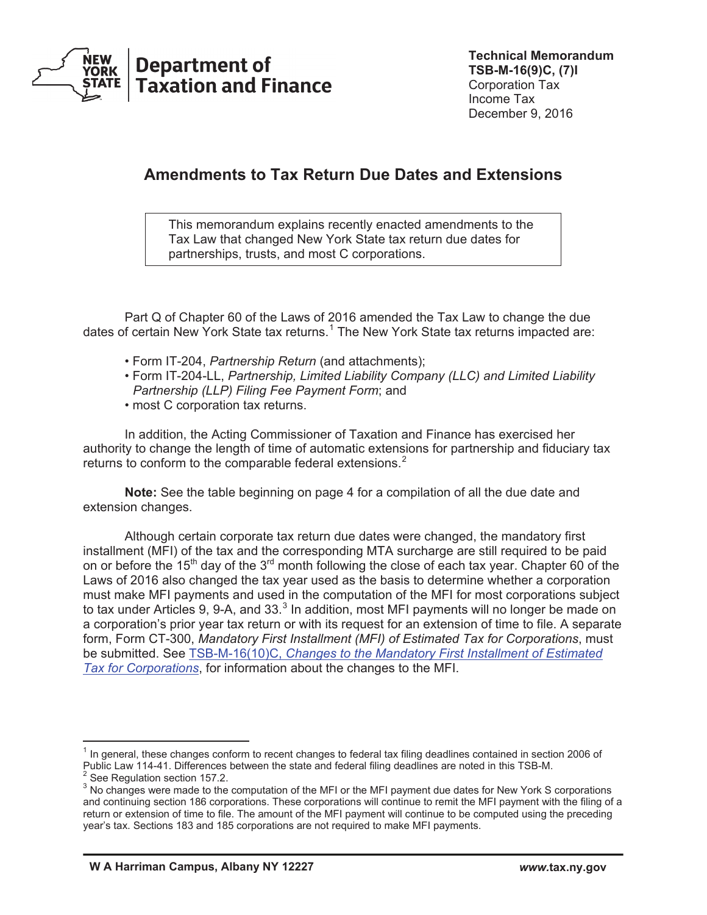

# **Amendments to Tax Return Due Dates and Extensions**

This memorandum explains recently enacted amendments to the Tax Law that changed New York State tax return due dates for partnerships, trusts, and most C corporations.

Part Q of Chapter 60 of the Laws of 2016 amended the Tax Law to change the due dates of certain New York State tax returns.<sup>1</sup> The New York State tax returns impacted are:

- Form IT-204, *Partnership Return* (and attachments);
- Form IT-204-LL, *Partnership, Limited Liability Company (LLC) and Limited Liability Partnership (LLP) Filing Fee Payment Form*; and
- most C corporation tax returns.

 In addition, the Acting Commissioner of Taxation and Finance has exercised her authority to change the length of time of automatic extensions for partnership and fiduciary tax returns to conform to the comparable federal extensions.<sup>2</sup>

 **Note:** See the table beginning on page 4 for a compilation of all the due date and extension changes.

Although certain corporate tax return due dates were changed, the mandatory first installment (MFI) of the tax and the corresponding MTA surcharge are still required to be paid on or before the 15<sup>th</sup> day of the 3<sup>rd</sup> month following the close of each tax year. Chapter 60 of the Laws of 2016 also changed the tax year used as the basis to determine whether a corporation must make MFI payments and used in the computation of the MFI for most corporations subject to tax under Articles 9, 9-A, and 33. $3$  In addition, most MFI payments will no longer be made on a corporation's prior year tax return or with its request for an extension of time to file. A separate form, Form CT-300, *Mandatory First Installment (MFI) of Estimated Tax for Corporations*, must be submitted. See TSB-M-16(10)C, *[Changes to the Mandatory First Installment of Estimated](https://www.tax.ny.gov/pdf/memos/corporation/m16_10c.pdf)  [Tax for Corporations](https://www.tax.ny.gov/pdf/memos/corporation/m16_10c.pdf)*, for information about the changes to the MFI.

 $<sup>1</sup>$  In general, these changes conform to recent changes to federal tax filing deadlines contained in section 2006 of</sup> Public Law 114-41. Differences between the state and federal filing deadlines are noted in this TSB-M.  $^2$  See Regulation section 157.2.

<sup>&</sup>lt;sup>3</sup> No changes were made to the computation of the MFI or the MFI payment due dates for New York S corporations and continuing section 186 corporations. These corporations will continue to remit the MFI payment with the filing of a return or extension of time to file. The amount of the MFI payment will continue to be computed using the preceding year's tax. Sections 183 and 185 corporations are not required to make MFI payments.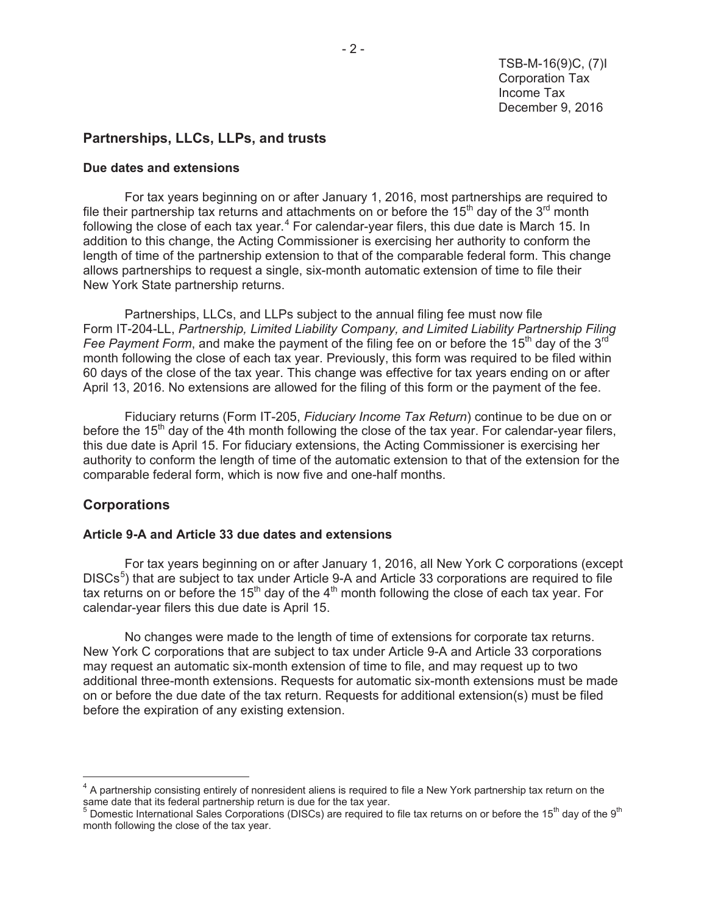# **Partnerships, LLCs, LLPs, and trusts**

#### **Due dates and extensions**

For tax years beginning on or after January 1, 2016, most partnerships are required to file their partnership tax returns and attachments on or before the 15<sup>th</sup> day of the 3<sup>rd</sup> month following the close of each tax year.<sup>4</sup> For calendar-year filers, this due date is March 15. In addition to this change, the Acting Commissioner is exercising her authority to conform the length of time of the partnership extension to that of the comparable federal form. This change allows partnerships to request a single, six-month automatic extension of time to file their New York State partnership returns.

 Partnerships, LLCs, and LLPs subject to the annual filing fee must now file Form IT-204-LL, *Partnership, Limited Liability Company, and Limited Liability Partnership Filing Fee Payment Form*, and make the payment of the filing fee on or before the 15<sup>th</sup> day of the 3<sup>rd</sup> month following the close of each tax year. Previously, this form was required to be filed within 60 days of the close of the tax year. This change was effective for tax years ending on or after April 13, 2016. No extensions are allowed for the filing of this form or the payment of the fee.

 Fiduciary returns (Form IT-205, *Fiduciary Income Tax Return*) continue to be due on or before the 15<sup>th</sup> day of the 4th month following the close of the tax year. For calendar-year filers, this due date is April 15. For fiduciary extensions, the Acting Commissioner is exercising her authority to conform the length of time of the automatic extension to that of the extension for the comparable federal form, which is now five and one-half months.

## **Corporations**

 $\overline{a}$ 

#### **Article 9-A and Article 33 due dates and extensions**

For tax years beginning on or after January 1, 2016, all New York C corporations (except DISCs<sup>5</sup>) that are subject to tax under Article 9-A and Article 33 corporations are required to file tax returns on or before the 15<sup>th</sup> day of the 4<sup>th</sup> month following the close of each tax year. For calendar-year filers this due date is April 15.

 No changes were made to the length of time of extensions for corporate tax returns. New York C corporations that are subject to tax under Article 9-A and Article 33 corporations may request an automatic six-month extension of time to file, and may request up to two additional three-month extensions. Requests for automatic six-month extensions must be made on or before the due date of the tax return. Requests for additional extension(s) must be filed before the expiration of any existing extension.

<sup>&</sup>lt;sup>4</sup> A partnership consisting entirely of nonresident aliens is required to file a New York partnership tax return on the

same date that its federal partnership return is due for the tax year.<br><sup>5</sup> Domestic International Sales Corporations (DISCs) are required to file tax returns on or before the 15<sup>th</sup> day of the 9<sup>th</sup> month following the close of the tax year.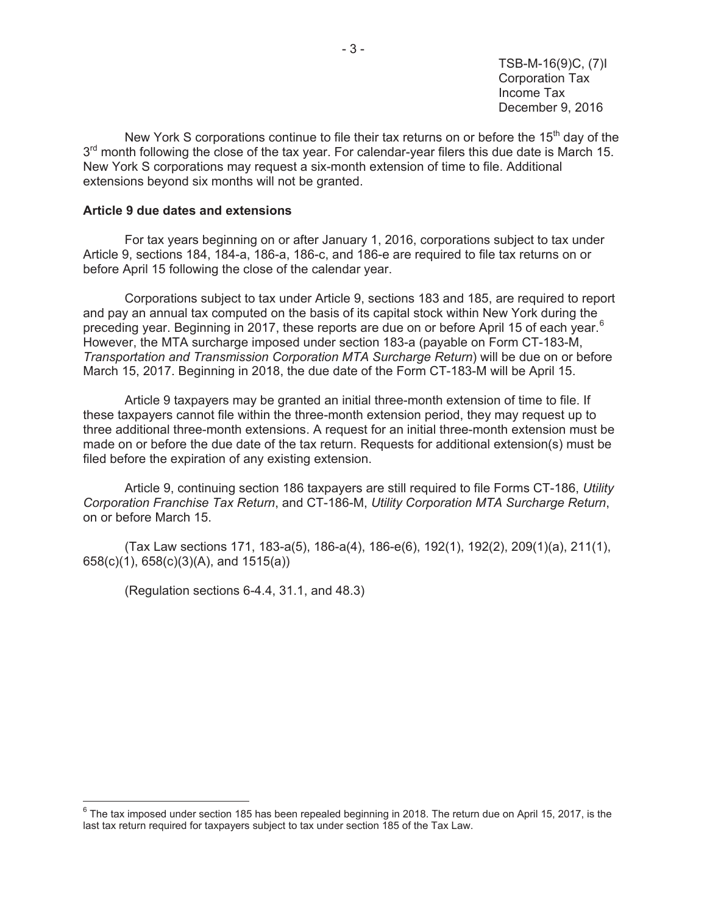New York S corporations continue to file their tax returns on or before the 15<sup>th</sup> day of the  $3<sup>rd</sup>$  month following the close of the tax year. For calendar-year filers this due date is March 15. New York S corporations may request a six-month extension of time to file. Additional extensions beyond six months will not be granted.

#### **Article 9 due dates and extensions**

 For tax years beginning on or after January 1, 2016, corporations subject to tax under Article 9, sections 184, 184-a, 186-a, 186-c, and 186-e are required to file tax returns on or before April 15 following the close of the calendar year.

 Corporations subject to tax under Article 9, sections 183 and 185, are required to report and pay an annual tax computed on the basis of its capital stock within New York during the preceding year. Beginning in 2017, these reports are due on or before April 15 of each year.<sup>6</sup> However, the MTA surcharge imposed under section 183-a (payable on Form CT-183-M, *Transportation and Transmission Corporation MTA Surcharge Return*) will be due on or before March 15, 2017. Beginning in 2018, the due date of the Form CT-183-M will be April 15.

Article 9 taxpayers may be granted an initial three-month extension of time to file. If these taxpayers cannot file within the three-month extension period, they may request up to three additional three-month extensions. A request for an initial three-month extension must be made on or before the due date of the tax return. Requests for additional extension(s) must be filed before the expiration of any existing extension.

 Article 9, continuing section 186 taxpayers are still required to file Forms CT-186, *Utility Corporation Franchise Tax Return*, and CT-186-M, *Utility Corporation MTA Surcharge Return*, on or before March 15.

 (Tax Law sections 171, 183-a(5), 186-a(4), 186-e(6), 192(1), 192(2), 209(1)(a), 211(1), 658(c)(1), 658(c)(3)(A), and 1515(a))

(Regulation sections 6-4.4, 31.1, and 48.3)

 6 The tax imposed under section 185 has been repealed beginning in 2018. The return due on April 15, 2017, is the last tax return required for taxpayers subject to tax under section 185 of the Tax Law.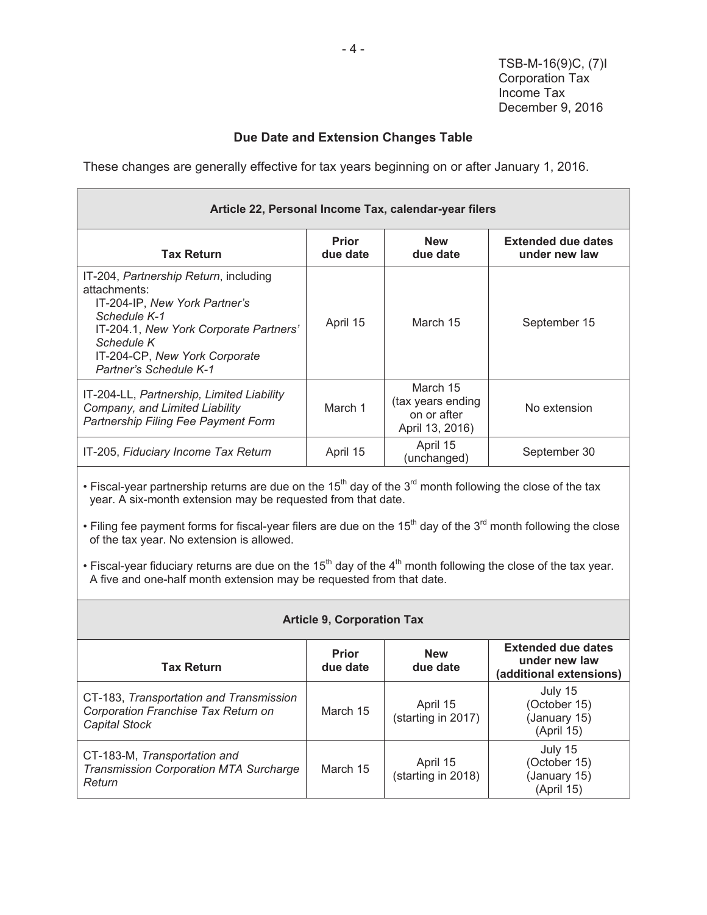# **Due Date and Extension Changes Table**

These changes are generally effective for tax years beginning on or after January 1, 2016.

| Article 22, Personal Income Tax, calendar-year filers                                                                                                                                                                            |                          |                                                                 |                                            |
|----------------------------------------------------------------------------------------------------------------------------------------------------------------------------------------------------------------------------------|--------------------------|-----------------------------------------------------------------|--------------------------------------------|
| <b>Tax Return</b>                                                                                                                                                                                                                | <b>Prior</b><br>due date | <b>New</b><br>due date                                          | <b>Extended due dates</b><br>under new law |
| IT-204, Partnership Return, including<br>attachments:<br>IT-204-IP, New York Partner's<br>Schedule K-1<br>IT-204.1, New York Corporate Partners'<br>Schedule K<br>IT-204-CP, New York Corporate<br><b>Partner's Schedule K-1</b> | April 15                 | March 15                                                        | September 15                               |
| IT-204-LL, Partnership, Limited Liability<br>Company, and Limited Liability<br>Partnership Filing Fee Payment Form                                                                                                               | March 1                  | March 15<br>(tax years ending<br>on or after<br>April 13, 2016) | No extension                               |
| IT-205, Fiduciary Income Tax Return                                                                                                                                                                                              | April 15                 | April 15<br>(unchanged)                                         | September 30                               |
| • Fiscal-year partnership returns are due on the $15th$ day of the $3rd$ month following the close of the tax<br>year. A six-month extension may be requested from that date.                                                    |                          |                                                                 |                                            |

• Filing fee payment forms for fiscal-year filers are due on the 15<sup>th</sup> day of the 3<sup>rd</sup> month following the close of the tax year. No extension is allowed.

• Fiscal-year fiduciary returns are due on the 15<sup>th</sup> day of the 4<sup>th</sup> month following the close of the tax year. A five and one-half month extension may be requested from that date.

| <b>Article 9, Corporation Tax</b>                                                                      |                          |                                |                                                                       |
|--------------------------------------------------------------------------------------------------------|--------------------------|--------------------------------|-----------------------------------------------------------------------|
| <b>Tax Return</b>                                                                                      | <b>Prior</b><br>due date | <b>New</b><br>due date         | <b>Extended due dates</b><br>under new law<br>(additional extensions) |
| CT-183, Transportation and Transmission<br>Corporation Franchise Tax Return on<br><b>Capital Stock</b> | March 15                 | April 15<br>(starting in 2017) | July 15<br>(October 15)<br>(January 15)<br>(April 15)                 |
| CT-183-M, Transportation and<br><b>Transmission Corporation MTA Surcharge</b><br>Return                | March 15                 | April 15<br>(starting in 2018) | July 15<br>(October 15)<br>(January 15)<br>(April 15)                 |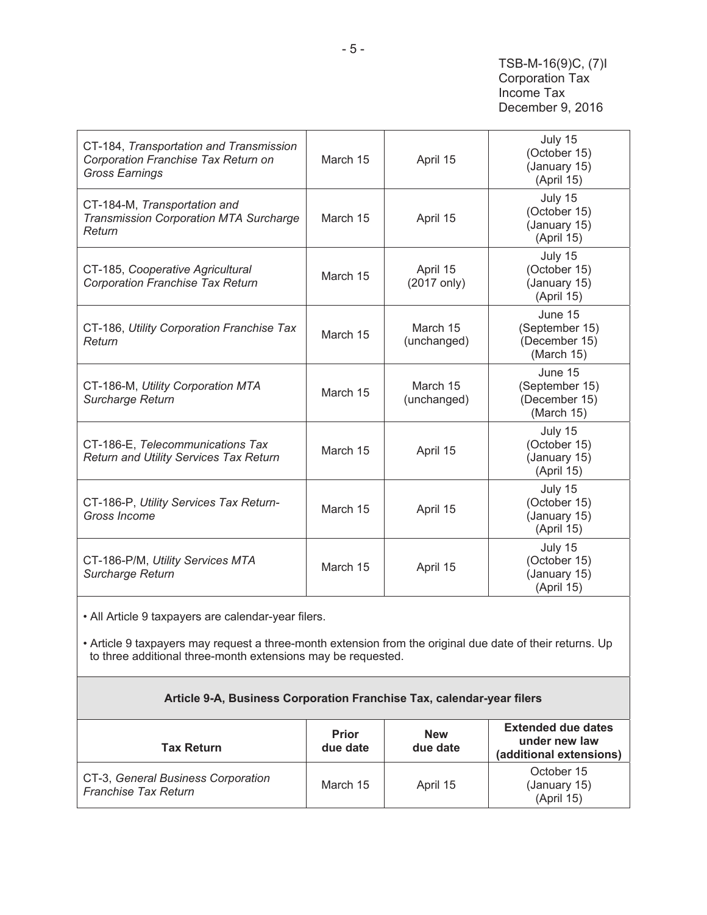| CT-184, Transportation and Transmission<br>Corporation Franchise Tax Return on<br><b>Gross Earnings</b> | March 15 | April 15                | July 15<br>(October 15)<br>(January 15)<br>(April 15)    |
|---------------------------------------------------------------------------------------------------------|----------|-------------------------|----------------------------------------------------------|
| CT-184-M, Transportation and<br><b>Transmission Corporation MTA Surcharge</b><br>Return                 | March 15 | April 15                | July 15<br>(October 15)<br>(January 15)<br>(April 15)    |
| CT-185, Cooperative Agricultural<br><b>Corporation Franchise Tax Return</b>                             | March 15 | April 15<br>(2017 only) | July 15<br>(October 15)<br>(January 15)<br>(April 15)    |
| CT-186, Utility Corporation Franchise Tax<br>Return                                                     | March 15 | March 15<br>(unchanged) | June 15<br>(September 15)<br>(December 15)<br>(March 15) |
| CT-186-M, Utility Corporation MTA<br>Surcharge Return                                                   | March 15 | March 15<br>(unchanged) | June 15<br>(September 15)<br>(December 15)<br>(March 15) |
| CT-186-E, Telecommunications Tax<br><b>Return and Utility Services Tax Return</b>                       | March 15 | April 15                | July 15<br>(October 15)<br>(January 15)<br>(April 15)    |
| CT-186-P, Utility Services Tax Return-<br>Gross Income                                                  | March 15 | April 15                | July 15<br>(October 15)<br>(January 15)<br>(April 15)    |
| CT-186-P/M, Utility Services MTA<br>Surcharge Return                                                    | March 15 | April 15                | July 15<br>(October 15)<br>(January 15)<br>(April 15)    |

• All Article 9 taxpayers are calendar-year filers.

• Article 9 taxpayers may request a three-month extension from the original due date of their returns. Up to three additional three-month extensions may be requested.

## **Article 9-A, Business Corporation Franchise Tax, calendar-year filers**

| <b>Tax Return</b>                                                 | <b>Prior</b><br>due date | <b>New</b><br>due date | <b>Extended due dates</b><br>under new law<br>(additional extensions) |
|-------------------------------------------------------------------|--------------------------|------------------------|-----------------------------------------------------------------------|
| CT-3, General Business Corporation<br><b>Franchise Tax Return</b> | March 15                 | April 15               | October 15<br>(January 15)<br>(April 15)                              |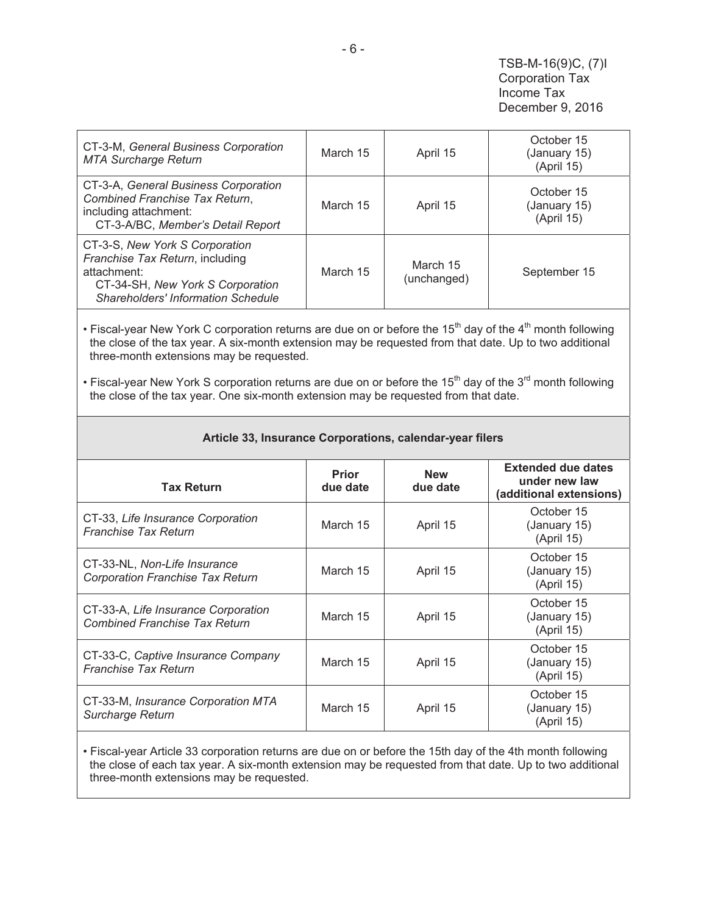| CT-3-M, General Business Corporation<br><b>MTA Surcharge Return</b>                                                                                               | March 15 | April 15                | October 15<br>(January 15)<br>(April 15) |
|-------------------------------------------------------------------------------------------------------------------------------------------------------------------|----------|-------------------------|------------------------------------------|
| CT-3-A, General Business Corporation<br>Combined Franchise Tax Return,<br>including attachment:<br>CT-3-A/BC, Member's Detail Report                              | March 15 | April 15                | October 15<br>(January 15)<br>(April 15) |
| CT-3-S, New York S Corporation<br>Franchise Tax Return, including<br>attachment:<br>CT-34-SH, New York S Corporation<br><b>Shareholders' Information Schedule</b> | March 15 | March 15<br>(unchanged) | September 15                             |

• Fiscal-year New York C corporation returns are due on or before the  $15<sup>th</sup>$  day of the  $4<sup>th</sup>$  month following the close of the tax year. A six-month extension may be requested from that date. Up to two additional three-month extensions may be requested.

• Fiscal-year New York S corporation returns are due on or before the 15<sup>th</sup> day of the 3<sup>rd</sup> month following the close of the tax year. One six-month extension may be requested from that date.

| <b>Tax Return</b>                                                           | Prior<br>due date | <b>New</b><br>due date | <b>Extended due dates</b><br>under new law<br>(additional extensions) |
|-----------------------------------------------------------------------------|-------------------|------------------------|-----------------------------------------------------------------------|
| CT-33, Life Insurance Corporation<br><b>Franchise Tax Return</b>            | March 15          | April 15               | October 15<br>(January 15)<br>(April 15)                              |
| CT-33-NL, Non-Life Insurance<br><b>Corporation Franchise Tax Return</b>     | March 15          | April 15               | October 15<br>(January 15)<br>(April 15)                              |
| CT-33-A, Life Insurance Corporation<br><b>Combined Franchise Tax Return</b> | March 15          | April 15               | October 15<br>(January 15)<br>(April 15)                              |
| CT-33-C, Captive Insurance Company<br><b>Franchise Tax Return</b>           | March 15          | April 15               | October 15<br>(January 15)<br>(April 15)                              |
| CT-33-M, Insurance Corporation MTA<br>Surcharge Return                      | March 15          | April 15               | October 15<br>(January 15)<br>(April 15)                              |

#### **Article 33, Insurance Corporations, calendar-year filers**

• Fiscal-year Article 33 corporation returns are due on or before the 15th day of the 4th month following the close of each tax year. A six-month extension may be requested from that date. Up to two additional three-month extensions may be requested.